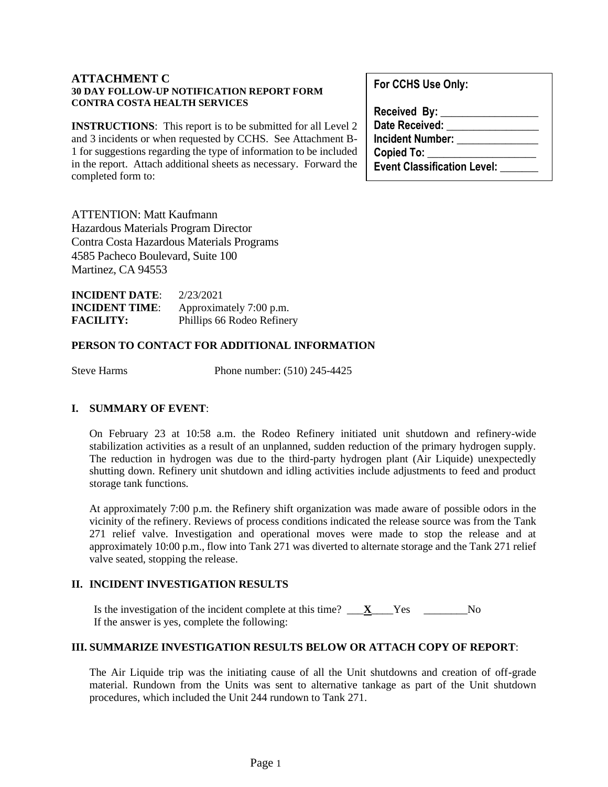#### **ATTACHMENT C 30 DAY FOLLOW-UP NOTIFICATION REPORT FORM CONTRA COSTA HEALTH SERVICES**

**INSTRUCTIONS**: This report is to be submitted for all Level 2 and 3 incidents or when requested by CCHS. See Attachment B-1 for suggestions regarding the type of information to be included in the report. Attach additional sheets as necessary. Forward the completed form to:

ATTENTION: Matt Kaufmann Hazardous Materials Program Director Contra Costa Hazardous Materials Programs 4585 Pacheco Boulevard, Suite 100 Martinez, CA 94553

| <b>INCIDENT DATE:</b> | 2/23/2021                  |
|-----------------------|----------------------------|
| <b>INCIDENT TIME:</b> | Approximately 7:00 p.m.    |
| <b>FACILITY:</b>      | Phillips 66 Rodeo Refinery |

#### **PERSON TO CONTACT FOR ADDITIONAL INFORMATION**

Steve Harms Phone number: (510) 245-4425

# **I. SUMMARY OF EVENT**:

On February 23 at 10:58 a.m. the Rodeo Refinery initiated unit shutdown and refinery-wide stabilization activities as a result of an unplanned, sudden reduction of the primary hydrogen supply. The reduction in hydrogen was due to the third-party hydrogen plant (Air Liquide) unexpectedly shutting down. Refinery unit shutdown and idling activities include adjustments to feed and product storage tank functions.

At approximately 7:00 p.m. the Refinery shift organization was made aware of possible odors in the vicinity of the refinery. Reviews of process conditions indicated the release source was from the Tank 271 relief valve. Investigation and operational moves were made to stop the release and at approximately 10:00 p.m., flow into Tank 271 was diverted to alternate storage and the Tank 271 relief valve seated, stopping the release.

# **II. INCIDENT INVESTIGATION RESULTS**

Is the investigation of the incident complete at this time?  $\mathbf{X}$  Yes  $\mathbf{X}$ If the answer is yes, complete the following:

#### **III. SUMMARIZE INVESTIGATION RESULTS BELOW OR ATTACH COPY OF REPORT**:

The Air Liquide trip was the initiating cause of all the Unit shutdowns and creation of off-grade material. Rundown from the Units was sent to alternative tankage as part of the Unit shutdown procedures, which included the Unit 244 rundown to Tank 271.

**For CCHS Use Only:**

| Received By:                       |
|------------------------------------|
| <b>Date Received:</b>              |
| <b>Incident Number:</b>            |
| <b>Copied To:</b>                  |
| <b>Event Classification Level:</b> |